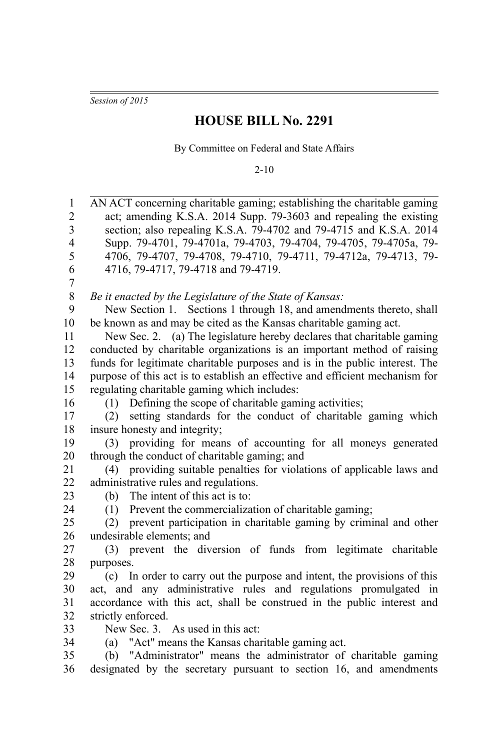*Session of 2015*

## **HOUSE BILL No. 2291**

By Committee on Federal and State Affairs

2-10

| $\mathbf{1}$                  | AN ACT concerning charitable gaming; establishing the charitable gaming                                                                     |
|-------------------------------|---------------------------------------------------------------------------------------------------------------------------------------------|
| $\overline{2}$                | act; amending K.S.A. 2014 Supp. 79-3603 and repealing the existing                                                                          |
| 3                             | section; also repealing K.S.A. 79-4702 and 79-4715 and K.S.A. 2014                                                                          |
| $\overline{\mathbf{4}}$       | Supp. 79-4701, 79-4701a, 79-4703, 79-4704, 79-4705, 79-4705a, 79-                                                                           |
| 5                             | 4706, 79-4707, 79-4708, 79-4710, 79-4711, 79-4712a, 79-4713, 79-                                                                            |
| 6                             | 4716, 79-4717, 79-4718 and 79-4719.                                                                                                         |
| $\overline{7}$<br>$\,$ 8 $\,$ | Be it enacted by the Legislature of the State of Kansas:                                                                                    |
| 9                             | New Section 1. Sections 1 through 18, and amendments thereto, shall                                                                         |
| 10                            | be known as and may be cited as the Kansas charitable gaming act.                                                                           |
| 11                            | New Sec. 2. (a) The legislature hereby declares that charitable gaming                                                                      |
| 12                            | conducted by charitable organizations is an important method of raising                                                                     |
| 13                            | funds for legitimate charitable purposes and is in the public interest. The                                                                 |
| 14                            | purpose of this act is to establish an effective and efficient mechanism for                                                                |
| 15                            | regulating charitable gaming which includes:                                                                                                |
| 16                            | (1) Defining the scope of charitable gaming activities;                                                                                     |
| 17                            | setting standards for the conduct of charitable gaming which<br>(2)                                                                         |
| 18                            | insure honesty and integrity;                                                                                                               |
| 19                            | (3) providing for means of accounting for all moneys generated                                                                              |
| 20                            | through the conduct of charitable gaming; and                                                                                               |
| 21                            | (4) providing suitable penalties for violations of applicable laws and                                                                      |
| 22                            | administrative rules and regulations.                                                                                                       |
| 23                            | The intent of this act is to:<br>(b)                                                                                                        |
| 24                            | (1) Prevent the commercialization of charitable gaming;                                                                                     |
| 25                            | prevent participation in charitable gaming by criminal and other<br>(2)                                                                     |
| 26                            | undesirable elements; and                                                                                                                   |
| 27                            | (3) prevent the diversion of funds from legitimate charitable                                                                               |
| 28                            | purposes.                                                                                                                                   |
| 29                            | (c) In order to carry out the purpose and intent, the provisions of this                                                                    |
| 30                            | act, and any administrative rules and regulations promulgated in<br>accordance with this act, shall be construed in the public interest and |
| 31<br>32                      | strictly enforced.                                                                                                                          |
| 33                            | New Sec. 3. As used in this act:                                                                                                            |
| 34                            | (a) "Act" means the Kansas charitable gaming act.                                                                                           |
| 35                            | "Administrator" means the administrator of charitable gaming<br>(b)                                                                         |
| 36                            | designated by the secretary pursuant to section 16, and amendments                                                                          |
|                               |                                                                                                                                             |
|                               |                                                                                                                                             |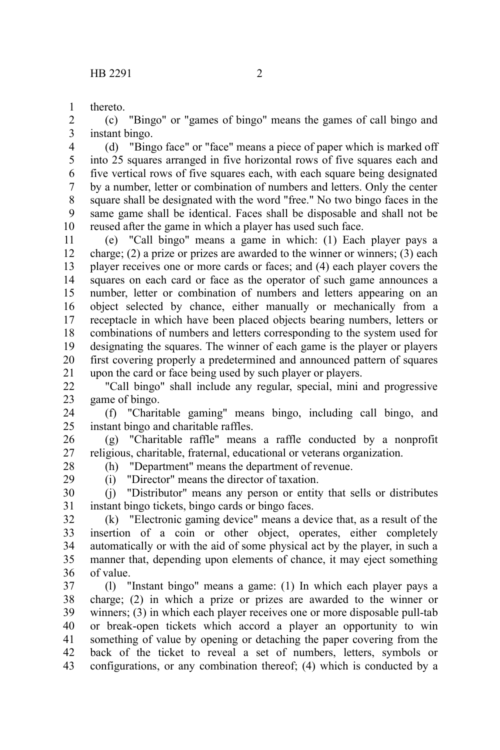thereto. 1

(c) "Bingo" or "games of bingo" means the games of call bingo and instant bingo. 2 3

(d) "Bingo face" or "face" means a piece of paper which is marked off into 25 squares arranged in five horizontal rows of five squares each and five vertical rows of five squares each, with each square being designated by a number, letter or combination of numbers and letters. Only the center square shall be designated with the word "free." No two bingo faces in the same game shall be identical. Faces shall be disposable and shall not be reused after the game in which a player has used such face. 4 5 6 7 8 9 10

(e) "Call bingo" means a game in which: (1) Each player pays a charge; (2) a prize or prizes are awarded to the winner or winners; (3) each player receives one or more cards or faces; and (4) each player covers the squares on each card or face as the operator of such game announces a number, letter or combination of numbers and letters appearing on an object selected by chance, either manually or mechanically from a receptacle in which have been placed objects bearing numbers, letters or combinations of numbers and letters corresponding to the system used for designating the squares. The winner of each game is the player or players first covering properly a predetermined and announced pattern of squares upon the card or face being used by such player or players. 11 12 13 14 15 16 17 18 19 20 21

"Call bingo" shall include any regular, special, mini and progressive game of bingo. 22 23

(f) "Charitable gaming" means bingo, including call bingo, and instant bingo and charitable raffles. 24 25

(g) "Charitable raffle" means a raffle conducted by a nonprofit religious, charitable, fraternal, educational or veterans organization. (h) "Department" means the department of revenue. 26 27

28 29

(i) "Director" means the director of taxation.

(j) "Distributor" means any person or entity that sells or distributes instant bingo tickets, bingo cards or bingo faces. 30 31

(k) "Electronic gaming device" means a device that, as a result of the insertion of a coin or other object, operates, either completely automatically or with the aid of some physical act by the player, in such a manner that, depending upon elements of chance, it may eject something of value. 32 33 34 35 36

(l) "Instant bingo" means a game: (1) In which each player pays a charge; (2) in which a prize or prizes are awarded to the winner or winners; (3) in which each player receives one or more disposable pull-tab or break-open tickets which accord a player an opportunity to win something of value by opening or detaching the paper covering from the back of the ticket to reveal a set of numbers, letters, symbols or configurations, or any combination thereof; (4) which is conducted by a 37 38 39 40 41 42 43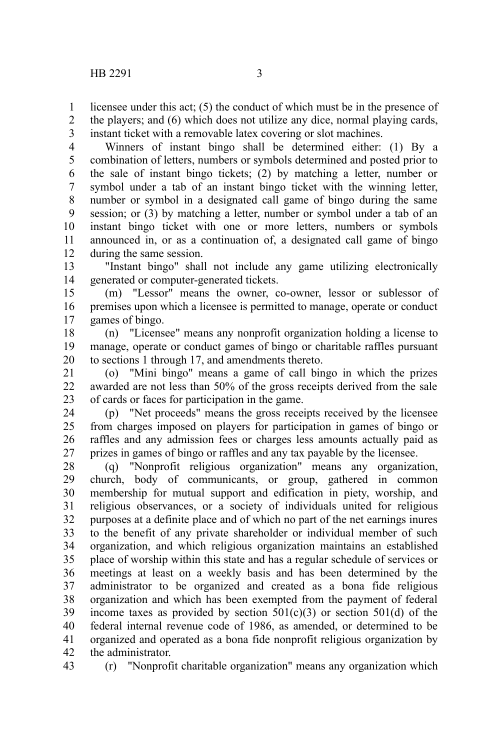licensee under this act; (5) the conduct of which must be in the presence of 1

2

the players; and (6) which does not utilize any dice, normal playing cards, instant ticket with a removable latex covering or slot machines. 3

Winners of instant bingo shall be determined either: (1) By a combination of letters, numbers or symbols determined and posted prior to the sale of instant bingo tickets; (2) by matching a letter, number or symbol under a tab of an instant bingo ticket with the winning letter, number or symbol in a designated call game of bingo during the same session; or (3) by matching a letter, number or symbol under a tab of an instant bingo ticket with one or more letters, numbers or symbols announced in, or as a continuation of, a designated call game of bingo during the same session. 4 5 6 7 8 9 10 11 12

"Instant bingo" shall not include any game utilizing electronically generated or computer-generated tickets. 13 14

(m) "Lessor" means the owner, co-owner, lessor or sublessor of premises upon which a licensee is permitted to manage, operate or conduct games of bingo. 15 16 17

(n) "Licensee" means any nonprofit organization holding a license to manage, operate or conduct games of bingo or charitable raffles pursuant to sections 1 through 17, and amendments thereto. 18 19 20

(o) "Mini bingo" means a game of call bingo in which the prizes awarded are not less than 50% of the gross receipts derived from the sale of cards or faces for participation in the game. 21 22 23

(p) "Net proceeds" means the gross receipts received by the licensee from charges imposed on players for participation in games of bingo or raffles and any admission fees or charges less amounts actually paid as prizes in games of bingo or raffles and any tax payable by the licensee. 24 25 26 27

(q) "Nonprofit religious organization" means any organization, church, body of communicants, or group, gathered in common membership for mutual support and edification in piety, worship, and religious observances, or a society of individuals united for religious purposes at a definite place and of which no part of the net earnings inures to the benefit of any private shareholder or individual member of such organization, and which religious organization maintains an established place of worship within this state and has a regular schedule of services or meetings at least on a weekly basis and has been determined by the administrator to be organized and created as a bona fide religious organization and which has been exempted from the payment of federal income taxes as provided by section  $501(c)(3)$  or section  $501(d)$  of the federal internal revenue code of 1986, as amended, or determined to be organized and operated as a bona fide nonprofit religious organization by the administrator. 28 29 30 31 32 33 34 35 36 37 38 39 40 41 42

43

(r) "Nonprofit charitable organization" means any organization which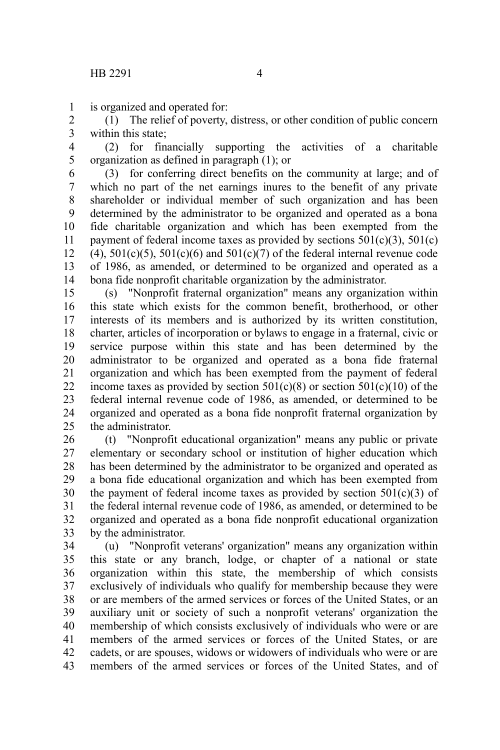is organized and operated for: 1

(1) The relief of poverty, distress, or other condition of public concern within this state; 2 3

(2) for financially supporting the activities of a charitable organization as defined in paragraph (1); or 4 5

(3) for conferring direct benefits on the community at large; and of which no part of the net earnings inures to the benefit of any private shareholder or individual member of such organization and has been determined by the administrator to be organized and operated as a bona fide charitable organization and which has been exempted from the payment of federal income taxes as provided by sections  $501(c)(3)$ ,  $501(c)$  $(4)$ ,  $501(c)(5)$ ,  $501(c)(6)$  and  $501(c)(7)$  of the federal internal revenue code of 1986, as amended, or determined to be organized and operated as a bona fide nonprofit charitable organization by the administrator. 6 7 8 9 10 11 12 13 14

(s) "Nonprofit fraternal organization" means any organization within this state which exists for the common benefit, brotherhood, or other interests of its members and is authorized by its written constitution, charter, articles of incorporation or bylaws to engage in a fraternal, civic or service purpose within this state and has been determined by the administrator to be organized and operated as a bona fide fraternal organization and which has been exempted from the payment of federal income taxes as provided by section  $501(c)(8)$  or section  $501(c)(10)$  of the federal internal revenue code of 1986, as amended, or determined to be organized and operated as a bona fide nonprofit fraternal organization by the administrator. 15 16 17 18 19 20 21 22 23 24 25

(t) "Nonprofit educational organization" means any public or private elementary or secondary school or institution of higher education which has been determined by the administrator to be organized and operated as a bona fide educational organization and which has been exempted from the payment of federal income taxes as provided by section  $501(c)(3)$  of the federal internal revenue code of 1986, as amended, or determined to be organized and operated as a bona fide nonprofit educational organization by the administrator. 26 27 28 29 30 31 32 33

(u) "Nonprofit veterans' organization" means any organization within this state or any branch, lodge, or chapter of a national or state organization within this state, the membership of which consists exclusively of individuals who qualify for membership because they were or are members of the armed services or forces of the United States, or an auxiliary unit or society of such a nonprofit veterans' organization the membership of which consists exclusively of individuals who were or are members of the armed services or forces of the United States, or are cadets, or are spouses, widows or widowers of individuals who were or are members of the armed services or forces of the United States, and of 34 35 36 37 38 39 40 41 42 43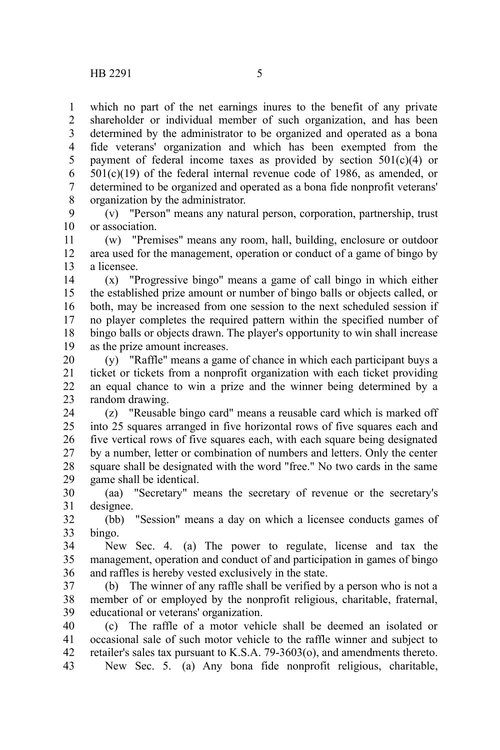which no part of the net earnings inures to the benefit of any private shareholder or individual member of such organization, and has been determined by the administrator to be organized and operated as a bona fide veterans' organization and which has been exempted from the payment of federal income taxes as provided by section  $501(c)(4)$  or  $501(c)(19)$  of the federal internal revenue code of 1986, as amended, or determined to be organized and operated as a bona fide nonprofit veterans' organization by the administrator. 1 2 3 4 5 6 7 8

(v) "Person" means any natural person, corporation, partnership, trust or association. 9 10

(w) "Premises" means any room, hall, building, enclosure or outdoor area used for the management, operation or conduct of a game of bingo by a licensee. 11 12 13

(x) "Progressive bingo" means a game of call bingo in which either the established prize amount or number of bingo balls or objects called, or both, may be increased from one session to the next scheduled session if no player completes the required pattern within the specified number of bingo balls or objects drawn. The player's opportunity to win shall increase as the prize amount increases. 14 15 16 17 18 19

(y) "Raffle" means a game of chance in which each participant buys a ticket or tickets from a nonprofit organization with each ticket providing an equal chance to win a prize and the winner being determined by a random drawing. 20 21 22 23

(z) "Reusable bingo card" means a reusable card which is marked off into 25 squares arranged in five horizontal rows of five squares each and five vertical rows of five squares each, with each square being designated by a number, letter or combination of numbers and letters. Only the center square shall be designated with the word "free." No two cards in the same game shall be identical. 24 25 26 27 28 29

(aa) "Secretary" means the secretary of revenue or the secretary's designee. 30 31

(bb) "Session" means a day on which a licensee conducts games of bingo. 32 33

New Sec. 4. (a) The power to regulate, license and tax the management, operation and conduct of and participation in games of bingo and raffles is hereby vested exclusively in the state. 34 35 36

(b) The winner of any raffle shall be verified by a person who is not a member of or employed by the nonprofit religious, charitable, fraternal, educational or veterans' organization. 37 38 39

(c) The raffle of a motor vehicle shall be deemed an isolated or occasional sale of such motor vehicle to the raffle winner and subject to retailer's sales tax pursuant to K.S.A. 79-3603(o), and amendments thereto. New Sec. 5. (a) Any bona fide nonprofit religious, charitable, 40 41 42 43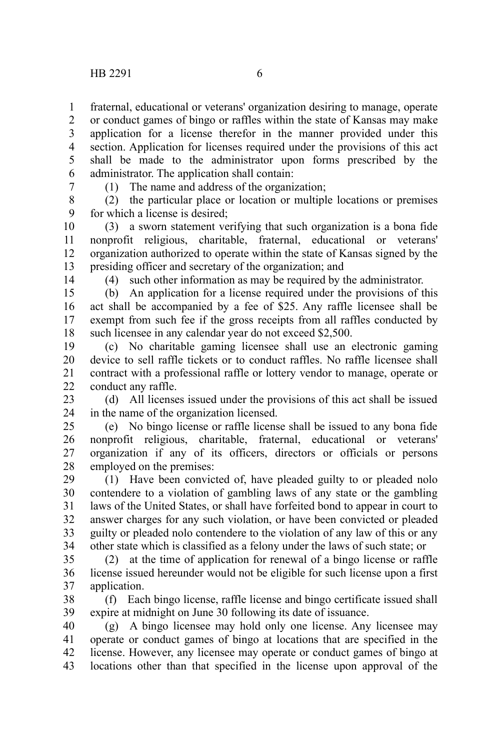fraternal, educational or veterans' organization desiring to manage, operate or conduct games of bingo or raffles within the state of Kansas may make application for a license therefor in the manner provided under this section. Application for licenses required under the provisions of this act shall be made to the administrator upon forms prescribed by the administrator. The application shall contain: 1 2 3 4 5 6

7

(1) The name and address of the organization;

(2) the particular place or location or multiple locations or premises for which a license is desired; 8 9

(3) a sworn statement verifying that such organization is a bona fide nonprofit religious, charitable, fraternal, educational or veterans' organization authorized to operate within the state of Kansas signed by the presiding officer and secretary of the organization; and 10 11 12 13

14

(4) such other information as may be required by the administrator.

(b) An application for a license required under the provisions of this act shall be accompanied by a fee of \$25. Any raffle licensee shall be exempt from such fee if the gross receipts from all raffles conducted by such licensee in any calendar year do not exceed \$2,500. 15 16 17 18

(c) No charitable gaming licensee shall use an electronic gaming device to sell raffle tickets or to conduct raffles. No raffle licensee shall contract with a professional raffle or lottery vendor to manage, operate or conduct any raffle. 19 20 21 22

(d) All licenses issued under the provisions of this act shall be issued in the name of the organization licensed. 23 24

(e) No bingo license or raffle license shall be issued to any bona fide nonprofit religious, charitable, fraternal, educational or veterans' organization if any of its officers, directors or officials or persons employed on the premises: 25 26 27 28

(1) Have been convicted of, have pleaded guilty to or pleaded nolo contendere to a violation of gambling laws of any state or the gambling laws of the United States, or shall have forfeited bond to appear in court to answer charges for any such violation, or have been convicted or pleaded guilty or pleaded nolo contendere to the violation of any law of this or any other state which is classified as a felony under the laws of such state; or 29 30 31 32 33 34

(2) at the time of application for renewal of a bingo license or raffle license issued hereunder would not be eligible for such license upon a first application. 35 36 37

(f) Each bingo license, raffle license and bingo certificate issued shall expire at midnight on June 30 following its date of issuance. 38 39

(g) A bingo licensee may hold only one license. Any licensee may operate or conduct games of bingo at locations that are specified in the license. However, any licensee may operate or conduct games of bingo at locations other than that specified in the license upon approval of the 40 41 42 43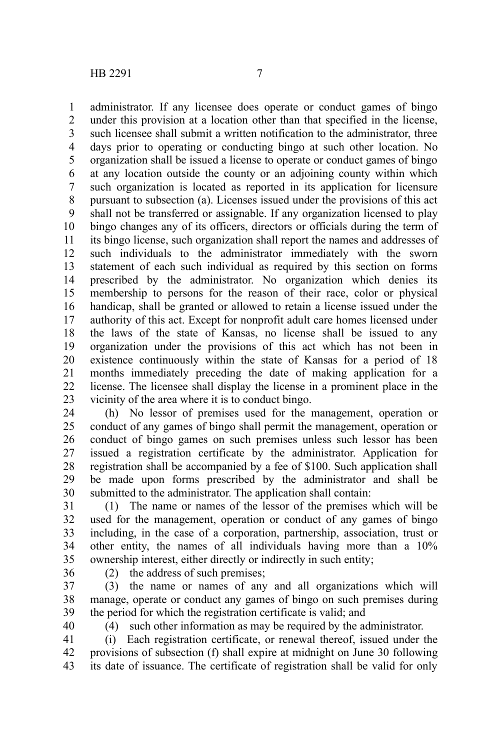administrator. If any licensee does operate or conduct games of bingo under this provision at a location other than that specified in the license, such licensee shall submit a written notification to the administrator, three days prior to operating or conducting bingo at such other location. No organization shall be issued a license to operate or conduct games of bingo at any location outside the county or an adjoining county within which such organization is located as reported in its application for licensure pursuant to subsection (a). Licenses issued under the provisions of this act shall not be transferred or assignable. If any organization licensed to play bingo changes any of its officers, directors or officials during the term of its bingo license, such organization shall report the names and addresses of such individuals to the administrator immediately with the sworn statement of each such individual as required by this section on forms prescribed by the administrator. No organization which denies its membership to persons for the reason of their race, color or physical handicap, shall be granted or allowed to retain a license issued under the authority of this act. Except for nonprofit adult care homes licensed under the laws of the state of Kansas, no license shall be issued to any organization under the provisions of this act which has not been in existence continuously within the state of Kansas for a period of 18 months immediately preceding the date of making application for a license. The licensee shall display the license in a prominent place in the vicinity of the area where it is to conduct bingo. 1 2 3 4 5 6 7 8 9 10 11 12 13 14 15 16 17 18 19 20 21 22 23

(h) No lessor of premises used for the management, operation or conduct of any games of bingo shall permit the management, operation or conduct of bingo games on such premises unless such lessor has been issued a registration certificate by the administrator. Application for registration shall be accompanied by a fee of \$100. Such application shall be made upon forms prescribed by the administrator and shall be submitted to the administrator. The application shall contain: 24 25 26 27 28 29 30

(1) The name or names of the lessor of the premises which will be used for the management, operation or conduct of any games of bingo including, in the case of a corporation, partnership, association, trust or other entity, the names of all individuals having more than a 10% ownership interest, either directly or indirectly in such entity; 31 32 33 34 35

36

(2) the address of such premises;

(3) the name or names of any and all organizations which will manage, operate or conduct any games of bingo on such premises during the period for which the registration certificate is valid; and 37 38 39

40

(4) such other information as may be required by the administrator.

(i) Each registration certificate, or renewal thereof, issued under the provisions of subsection (f) shall expire at midnight on June 30 following its date of issuance. The certificate of registration shall be valid for only 41 42 43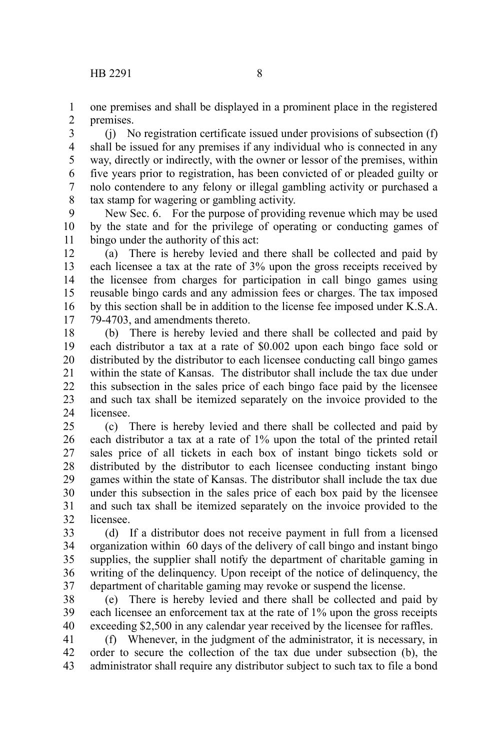one premises and shall be displayed in a prominent place in the registered premises. 1 2

(j) No registration certificate issued under provisions of subsection (f) shall be issued for any premises if any individual who is connected in any way, directly or indirectly, with the owner or lessor of the premises, within five years prior to registration, has been convicted of or pleaded guilty or nolo contendere to any felony or illegal gambling activity or purchased a tax stamp for wagering or gambling activity. 3 4 5 6 7 8

New Sec. 6. For the purpose of providing revenue which may be used by the state and for the privilege of operating or conducting games of bingo under the authority of this act: 9 10 11

(a) There is hereby levied and there shall be collected and paid by each licensee a tax at the rate of 3% upon the gross receipts received by the licensee from charges for participation in call bingo games using reusable bingo cards and any admission fees or charges. The tax imposed by this section shall be in addition to the license fee imposed under K.S.A. 79-4703, and amendments thereto. 12 13 14 15 16 17

(b) There is hereby levied and there shall be collected and paid by each distributor a tax at a rate of \$0.002 upon each bingo face sold or distributed by the distributor to each licensee conducting call bingo games within the state of Kansas. The distributor shall include the tax due under this subsection in the sales price of each bingo face paid by the licensee and such tax shall be itemized separately on the invoice provided to the licensee. 18 19 20 21 22 23 24

(c) There is hereby levied and there shall be collected and paid by each distributor a tax at a rate of 1% upon the total of the printed retail sales price of all tickets in each box of instant bingo tickets sold or distributed by the distributor to each licensee conducting instant bingo games within the state of Kansas. The distributor shall include the tax due under this subsection in the sales price of each box paid by the licensee and such tax shall be itemized separately on the invoice provided to the licensee. 25 26 27 28 29 30 31 32

(d) If a distributor does not receive payment in full from a licensed organization within 60 days of the delivery of call bingo and instant bingo supplies, the supplier shall notify the department of charitable gaming in writing of the delinquency. Upon receipt of the notice of delinquency, the department of charitable gaming may revoke or suspend the license. 33 34 35 36 37

(e) There is hereby levied and there shall be collected and paid by each licensee an enforcement tax at the rate of 1% upon the gross receipts exceeding \$2,500 in any calendar year received by the licensee for raffles. 38 39 40

(f) Whenever, in the judgment of the administrator, it is necessary, in order to secure the collection of the tax due under subsection (b), the administrator shall require any distributor subject to such tax to file a bond 41 42 43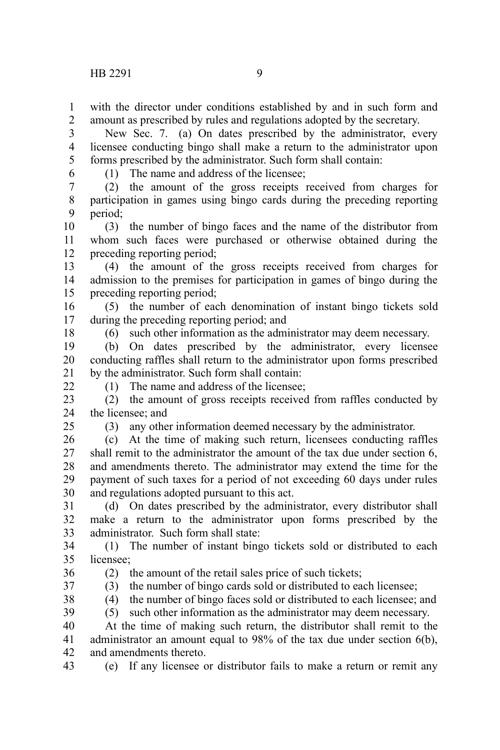with the director under conditions established by and in such form and amount as prescribed by rules and regulations adopted by the secretary. 1  $\mathcal{L}$ 

New Sec. 7. (a) On dates prescribed by the administrator, every licensee conducting bingo shall make a return to the administrator upon forms prescribed by the administrator. Such form shall contain: 3 4 5

6

(1) The name and address of the licensee;

(2) the amount of the gross receipts received from charges for participation in games using bingo cards during the preceding reporting period; 7 8 9

(3) the number of bingo faces and the name of the distributor from whom such faces were purchased or otherwise obtained during the preceding reporting period; 10 11 12

(4) the amount of the gross receipts received from charges for admission to the premises for participation in games of bingo during the preceding reporting period; 13 14 15

(5) the number of each denomination of instant bingo tickets sold during the preceding reporting period; and 16 17 18

(6) such other information as the administrator may deem necessary.

(b) On dates prescribed by the administrator, every licensee conducting raffles shall return to the administrator upon forms prescribed by the administrator. Such form shall contain: 19 20 21

 $22$ 

(1) The name and address of the licensee;

(2) the amount of gross receipts received from raffles conducted by the licensee; and 23 24 25

(3) any other information deemed necessary by the administrator.

(c) At the time of making such return, licensees conducting raffles shall remit to the administrator the amount of the tax due under section 6, and amendments thereto. The administrator may extend the time for the payment of such taxes for a period of not exceeding 60 days under rules and regulations adopted pursuant to this act. 26 27 28 29 30

(d) On dates prescribed by the administrator, every distributor shall make a return to the administrator upon forms prescribed by the administrator. Such form shall state: 31 32 33

(1) The number of instant bingo tickets sold or distributed to each licensee; 34 35

36

(2) the amount of the retail sales price of such tickets; (3) the number of bingo cards sold or distributed to each licensee;

37 38

(4) the number of bingo faces sold or distributed to each licensee; and

(5) such other information as the administrator may deem necessary. 39

At the time of making such return, the distributor shall remit to the administrator an amount equal to 98% of the tax due under section 6(b), and amendments thereto. 40 41 42

(e) If any licensee or distributor fails to make a return or remit any 43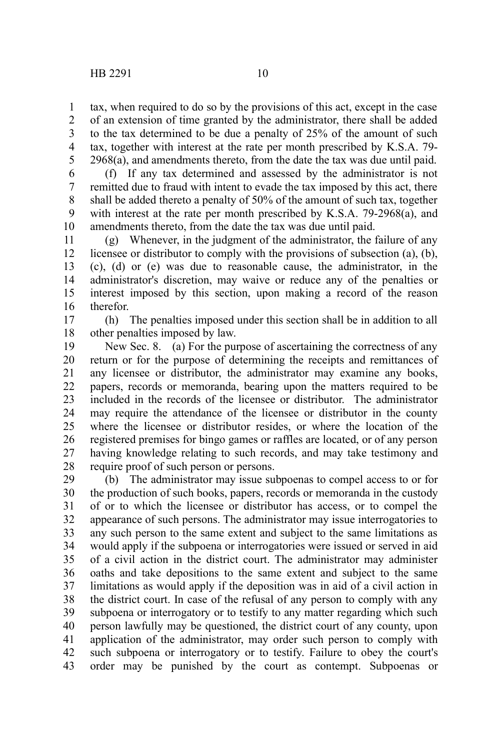tax, when required to do so by the provisions of this act, except in the case of an extension of time granted by the administrator, there shall be added to the tax determined to be due a penalty of 25% of the amount of such tax, together with interest at the rate per month prescribed by K.S.A. 79- 2968(a), and amendments thereto, from the date the tax was due until paid. 1 2 3 4 5

(f) If any tax determined and assessed by the administrator is not remitted due to fraud with intent to evade the tax imposed by this act, there shall be added thereto a penalty of 50% of the amount of such tax, together with interest at the rate per month prescribed by K.S.A. 79-2968(a), and amendments thereto, from the date the tax was due until paid. 6 7 8 9 10

(g) Whenever, in the judgment of the administrator, the failure of any licensee or distributor to comply with the provisions of subsection (a), (b), (c), (d) or (e) was due to reasonable cause, the administrator, in the administrator's discretion, may waive or reduce any of the penalties or interest imposed by this section, upon making a record of the reason therefor. 11 12 13 14 15 16

(h) The penalties imposed under this section shall be in addition to all other penalties imposed by law. 17 18

New Sec. 8. (a) For the purpose of ascertaining the correctness of any return or for the purpose of determining the receipts and remittances of any licensee or distributor, the administrator may examine any books, papers, records or memoranda, bearing upon the matters required to be included in the records of the licensee or distributor. The administrator may require the attendance of the licensee or distributor in the county where the licensee or distributor resides, or where the location of the registered premises for bingo games or raffles are located, or of any person having knowledge relating to such records, and may take testimony and require proof of such person or persons. 19 20 21 22 23 24 25 26 27 28

(b) The administrator may issue subpoenas to compel access to or for the production of such books, papers, records or memoranda in the custody of or to which the licensee or distributor has access, or to compel the appearance of such persons. The administrator may issue interrogatories to any such person to the same extent and subject to the same limitations as would apply if the subpoena or interrogatories were issued or served in aid of a civil action in the district court. The administrator may administer oaths and take depositions to the same extent and subject to the same limitations as would apply if the deposition was in aid of a civil action in the district court. In case of the refusal of any person to comply with any subpoena or interrogatory or to testify to any matter regarding which such person lawfully may be questioned, the district court of any county, upon application of the administrator, may order such person to comply with such subpoena or interrogatory or to testify. Failure to obey the court's order may be punished by the court as contempt. Subpoenas or 29 30 31 32 33 34 35 36 37 38 39 40 41 42 43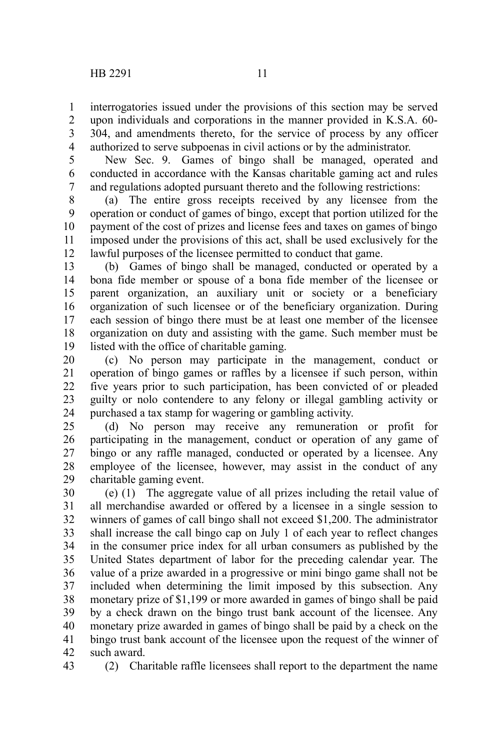interrogatories issued under the provisions of this section may be served 1

upon individuals and corporations in the manner provided in K.S.A. 60- 304, and amendments thereto, for the service of process by any officer authorized to serve subpoenas in civil actions or by the administrator. 2 3 4

New Sec. 9. Games of bingo shall be managed, operated and conducted in accordance with the Kansas charitable gaming act and rules and regulations adopted pursuant thereto and the following restrictions: 5 6 7

(a) The entire gross receipts received by any licensee from the operation or conduct of games of bingo, except that portion utilized for the payment of the cost of prizes and license fees and taxes on games of bingo imposed under the provisions of this act, shall be used exclusively for the lawful purposes of the licensee permitted to conduct that game. 8 9 10 11 12

(b) Games of bingo shall be managed, conducted or operated by a bona fide member or spouse of a bona fide member of the licensee or parent organization, an auxiliary unit or society or a beneficiary organization of such licensee or of the beneficiary organization. During each session of bingo there must be at least one member of the licensee organization on duty and assisting with the game. Such member must be listed with the office of charitable gaming. 13 14 15 16 17 18 19

(c) No person may participate in the management, conduct or operation of bingo games or raffles by a licensee if such person, within five years prior to such participation, has been convicted of or pleaded guilty or nolo contendere to any felony or illegal gambling activity or purchased a tax stamp for wagering or gambling activity. 20 21 22 23 24

(d) No person may receive any remuneration or profit for participating in the management, conduct or operation of any game of bingo or any raffle managed, conducted or operated by a licensee. Any employee of the licensee, however, may assist in the conduct of any charitable gaming event. 25 26 27 28 29

(e) (1) The aggregate value of all prizes including the retail value of all merchandise awarded or offered by a licensee in a single session to winners of games of call bingo shall not exceed \$1,200. The administrator shall increase the call bingo cap on July 1 of each year to reflect changes in the consumer price index for all urban consumers as published by the United States department of labor for the preceding calendar year. The value of a prize awarded in a progressive or mini bingo game shall not be included when determining the limit imposed by this subsection. Any monetary prize of \$1,199 or more awarded in games of bingo shall be paid by a check drawn on the bingo trust bank account of the licensee. Any monetary prize awarded in games of bingo shall be paid by a check on the bingo trust bank account of the licensee upon the request of the winner of such award. 30 31 32 33 34 35 36 37 38 39 40 41 42

43

(2) Charitable raffle licensees shall report to the department the name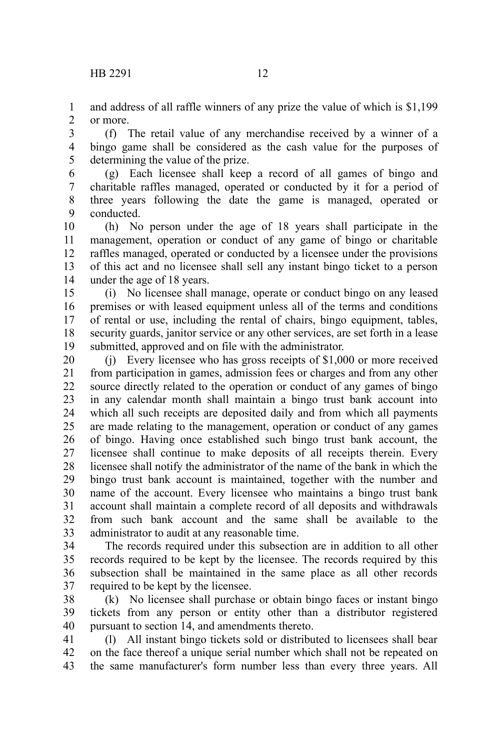and address of all raffle winners of any prize the value of which is \$1,199 or more. 1  $\mathcal{L}$ 

(f) The retail value of any merchandise received by a winner of a bingo game shall be considered as the cash value for the purposes of determining the value of the prize. 3 4 5

(g) Each licensee shall keep a record of all games of bingo and charitable raffles managed, operated or conducted by it for a period of three years following the date the game is managed, operated or conducted. 6 7 8 9

(h) No person under the age of 18 years shall participate in the management, operation or conduct of any game of bingo or charitable raffles managed, operated or conducted by a licensee under the provisions of this act and no licensee shall sell any instant bingo ticket to a person under the age of 18 years. 10 11 12 13 14

(i) No licensee shall manage, operate or conduct bingo on any leased premises or with leased equipment unless all of the terms and conditions of rental or use, including the rental of chairs, bingo equipment, tables, security guards, janitor service or any other services, are set forth in a lease submitted, approved and on file with the administrator. 15 16 17 18 19

(j) Every licensee who has gross receipts of \$1,000 or more received from participation in games, admission fees or charges and from any other source directly related to the operation or conduct of any games of bingo in any calendar month shall maintain a bingo trust bank account into which all such receipts are deposited daily and from which all payments are made relating to the management, operation or conduct of any games of bingo. Having once established such bingo trust bank account, the licensee shall continue to make deposits of all receipts therein. Every licensee shall notify the administrator of the name of the bank in which the bingo trust bank account is maintained, together with the number and name of the account. Every licensee who maintains a bingo trust bank account shall maintain a complete record of all deposits and withdrawals from such bank account and the same shall be available to the administrator to audit at any reasonable time. 20 21 22 23 24 25 26 27 28 29 30 31 32 33

The records required under this subsection are in addition to all other records required to be kept by the licensee. The records required by this subsection shall be maintained in the same place as all other records required to be kept by the licensee. 34 35 36 37

(k) No licensee shall purchase or obtain bingo faces or instant bingo tickets from any person or entity other than a distributor registered pursuant to section 14, and amendments thereto. 38 39 40

(l) All instant bingo tickets sold or distributed to licensees shall bear on the face thereof a unique serial number which shall not be repeated on the same manufacturer's form number less than every three years. All 41 42 43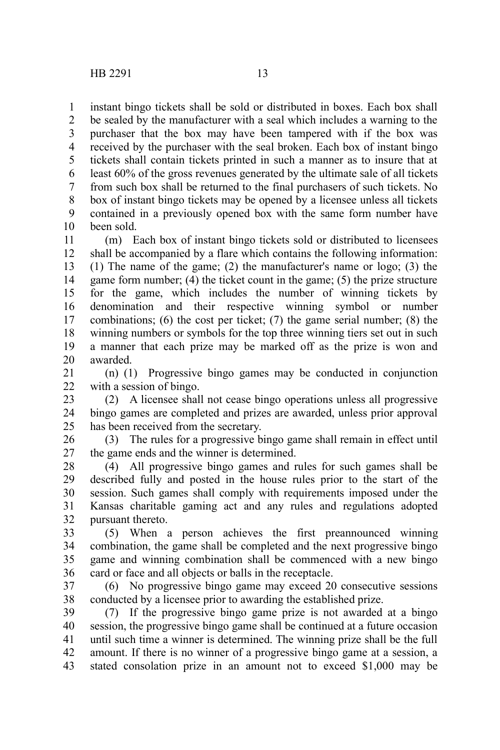instant bingo tickets shall be sold or distributed in boxes. Each box shall be sealed by the manufacturer with a seal which includes a warning to the purchaser that the box may have been tampered with if the box was received by the purchaser with the seal broken. Each box of instant bingo tickets shall contain tickets printed in such a manner as to insure that at least 60% of the gross revenues generated by the ultimate sale of all tickets from such box shall be returned to the final purchasers of such tickets. No box of instant bingo tickets may be opened by a licensee unless all tickets contained in a previously opened box with the same form number have been sold. 1 2 3 4 5 6 7 8 9 10

(m) Each box of instant bingo tickets sold or distributed to licensees shall be accompanied by a flare which contains the following information: (1) The name of the game; (2) the manufacturer's name or logo; (3) the game form number; (4) the ticket count in the game; (5) the prize structure for the game, which includes the number of winning tickets by denomination and their respective winning symbol or number combinations; (6) the cost per ticket; (7) the game serial number; (8) the winning numbers or symbols for the top three winning tiers set out in such a manner that each prize may be marked off as the prize is won and awarded. 11 12 13 14 15 16 17 18 19 20

(n) (1) Progressive bingo games may be conducted in conjunction with a session of bingo. 21 22

(2) A licensee shall not cease bingo operations unless all progressive bingo games are completed and prizes are awarded, unless prior approval has been received from the secretary. 23 24 25

(3) The rules for a progressive bingo game shall remain in effect until the game ends and the winner is determined. 26 27

(4) All progressive bingo games and rules for such games shall be described fully and posted in the house rules prior to the start of the session. Such games shall comply with requirements imposed under the Kansas charitable gaming act and any rules and regulations adopted pursuant thereto. 28 29 30 31 32

(5) When a person achieves the first preannounced winning combination, the game shall be completed and the next progressive bingo game and winning combination shall be commenced with a new bingo card or face and all objects or balls in the receptacle. 33 34 35 36

(6) No progressive bingo game may exceed 20 consecutive sessions conducted by a licensee prior to awarding the established prize. 37 38

(7) If the progressive bingo game prize is not awarded at a bingo session, the progressive bingo game shall be continued at a future occasion until such time a winner is determined. The winning prize shall be the full amount. If there is no winner of a progressive bingo game at a session, a stated consolation prize in an amount not to exceed \$1,000 may be 39 40 41 42 43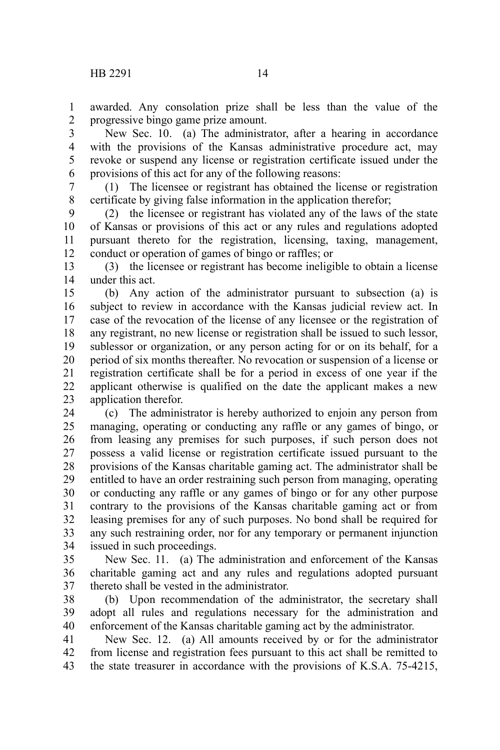awarded. Any consolation prize shall be less than the value of the progressive bingo game prize amount. 1 2

New Sec. 10. (a) The administrator, after a hearing in accordance with the provisions of the Kansas administrative procedure act, may revoke or suspend any license or registration certificate issued under the provisions of this act for any of the following reasons: 3 4 5 6

(1) The licensee or registrant has obtained the license or registration certificate by giving false information in the application therefor; 7 8

(2) the licensee or registrant has violated any of the laws of the state of Kansas or provisions of this act or any rules and regulations adopted pursuant thereto for the registration, licensing, taxing, management, conduct or operation of games of bingo or raffles; or 9 10 11 12

(3) the licensee or registrant has become ineligible to obtain a license under this act. 13 14

(b) Any action of the administrator pursuant to subsection (a) is subject to review in accordance with the Kansas judicial review act. In case of the revocation of the license of any licensee or the registration of any registrant, no new license or registration shall be issued to such lessor, sublessor or organization, or any person acting for or on its behalf, for a period of six months thereafter. No revocation or suspension of a license or registration certificate shall be for a period in excess of one year if the applicant otherwise is qualified on the date the applicant makes a new application therefor. 15 16 17 18 19 20 21 22 23

(c) The administrator is hereby authorized to enjoin any person from managing, operating or conducting any raffle or any games of bingo, or from leasing any premises for such purposes, if such person does not possess a valid license or registration certificate issued pursuant to the provisions of the Kansas charitable gaming act. The administrator shall be entitled to have an order restraining such person from managing, operating or conducting any raffle or any games of bingo or for any other purpose contrary to the provisions of the Kansas charitable gaming act or from leasing premises for any of such purposes. No bond shall be required for any such restraining order, nor for any temporary or permanent injunction issued in such proceedings. 24 25 26 27 28 29 30 31 32 33 34

New Sec. 11. (a) The administration and enforcement of the Kansas charitable gaming act and any rules and regulations adopted pursuant thereto shall be vested in the administrator. 35 36 37

(b) Upon recommendation of the administrator, the secretary shall adopt all rules and regulations necessary for the administration and enforcement of the Kansas charitable gaming act by the administrator. 38 39 40

New Sec. 12. (a) All amounts received by or for the administrator from license and registration fees pursuant to this act shall be remitted to the state treasurer in accordance with the provisions of K.S.A. 75-4215, 41 42 43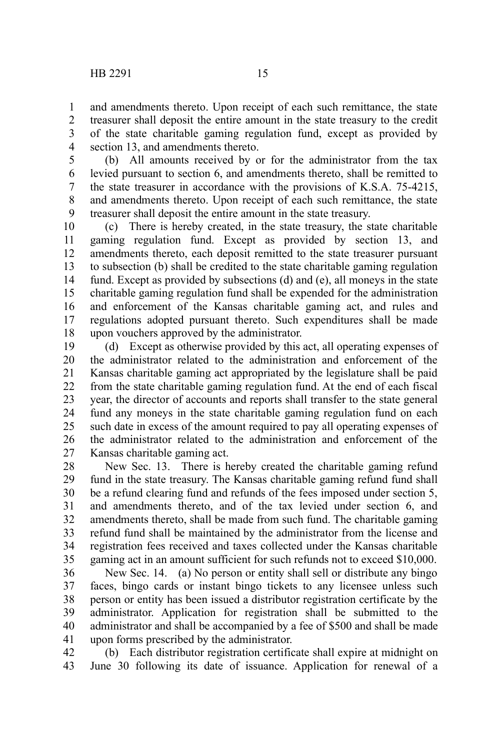and amendments thereto. Upon receipt of each such remittance, the state treasurer shall deposit the entire amount in the state treasury to the credit of the state charitable gaming regulation fund, except as provided by section 13, and amendments thereto. 1 2 3 4

(b) All amounts received by or for the administrator from the tax levied pursuant to section 6, and amendments thereto, shall be remitted to the state treasurer in accordance with the provisions of K.S.A. 75-4215, and amendments thereto. Upon receipt of each such remittance, the state treasurer shall deposit the entire amount in the state treasury. 5 6 7 8 9

(c) There is hereby created, in the state treasury, the state charitable gaming regulation fund. Except as provided by section 13, and amendments thereto, each deposit remitted to the state treasurer pursuant to subsection (b) shall be credited to the state charitable gaming regulation fund. Except as provided by subsections (d) and (e), all moneys in the state charitable gaming regulation fund shall be expended for the administration and enforcement of the Kansas charitable gaming act, and rules and regulations adopted pursuant thereto. Such expenditures shall be made upon vouchers approved by the administrator. 10 11 12 13 14 15 16 17 18

(d) Except as otherwise provided by this act, all operating expenses of the administrator related to the administration and enforcement of the Kansas charitable gaming act appropriated by the legislature shall be paid from the state charitable gaming regulation fund. At the end of each fiscal year, the director of accounts and reports shall transfer to the state general fund any moneys in the state charitable gaming regulation fund on each such date in excess of the amount required to pay all operating expenses of the administrator related to the administration and enforcement of the Kansas charitable gaming act. 19 20 21 22 23 24 25 26 27

New Sec. 13. There is hereby created the charitable gaming refund fund in the state treasury. The Kansas charitable gaming refund fund shall be a refund clearing fund and refunds of the fees imposed under section 5, and amendments thereto, and of the tax levied under section 6, and amendments thereto, shall be made from such fund. The charitable gaming refund fund shall be maintained by the administrator from the license and registration fees received and taxes collected under the Kansas charitable gaming act in an amount sufficient for such refunds not to exceed \$10,000. 28 29 30 31 32 33 34 35

New Sec. 14. (a) No person or entity shall sell or distribute any bingo faces, bingo cards or instant bingo tickets to any licensee unless such person or entity has been issued a distributor registration certificate by the administrator. Application for registration shall be submitted to the administrator and shall be accompanied by a fee of \$500 and shall be made upon forms prescribed by the administrator. 36 37 38 39 40 41

(b) Each distributor registration certificate shall expire at midnight on June 30 following its date of issuance. Application for renewal of a 42 43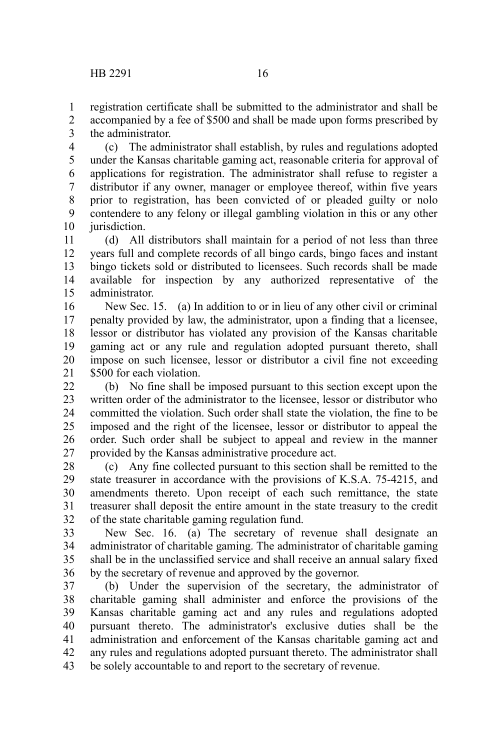registration certificate shall be submitted to the administrator and shall be accompanied by a fee of \$500 and shall be made upon forms prescribed by the administrator. 1 2 3

(c) The administrator shall establish, by rules and regulations adopted under the Kansas charitable gaming act, reasonable criteria for approval of applications for registration. The administrator shall refuse to register a distributor if any owner, manager or employee thereof, within five years prior to registration, has been convicted of or pleaded guilty or nolo contendere to any felony or illegal gambling violation in this or any other jurisdiction. 4 5 6 7 8 9 10

(d) All distributors shall maintain for a period of not less than three years full and complete records of all bingo cards, bingo faces and instant bingo tickets sold or distributed to licensees. Such records shall be made available for inspection by any authorized representative of the administrator. 11 12 13 14 15

New Sec. 15. (a) In addition to or in lieu of any other civil or criminal penalty provided by law, the administrator, upon a finding that a licensee, lessor or distributor has violated any provision of the Kansas charitable gaming act or any rule and regulation adopted pursuant thereto, shall impose on such licensee, lessor or distributor a civil fine not exceeding \$500 for each violation. 16 17 18 19 20 21

(b) No fine shall be imposed pursuant to this section except upon the written order of the administrator to the licensee, lessor or distributor who committed the violation. Such order shall state the violation, the fine to be imposed and the right of the licensee, lessor or distributor to appeal the order. Such order shall be subject to appeal and review in the manner provided by the Kansas administrative procedure act.  $22$ 23 24 25 26 27

(c) Any fine collected pursuant to this section shall be remitted to the state treasurer in accordance with the provisions of K.S.A. 75-4215, and amendments thereto. Upon receipt of each such remittance, the state treasurer shall deposit the entire amount in the state treasury to the credit of the state charitable gaming regulation fund. 28 29 30 31 32

New Sec. 16. (a) The secretary of revenue shall designate an administrator of charitable gaming. The administrator of charitable gaming shall be in the unclassified service and shall receive an annual salary fixed by the secretary of revenue and approved by the governor. 33 34 35 36

(b) Under the supervision of the secretary, the administrator of charitable gaming shall administer and enforce the provisions of the Kansas charitable gaming act and any rules and regulations adopted pursuant thereto. The administrator's exclusive duties shall be the administration and enforcement of the Kansas charitable gaming act and any rules and regulations adopted pursuant thereto. The administrator shall be solely accountable to and report to the secretary of revenue. 37 38 39 40 41 42 43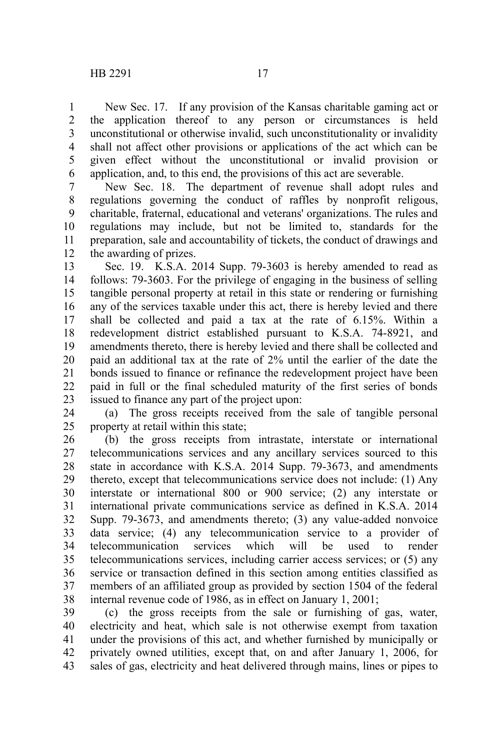New Sec. 17. If any provision of the Kansas charitable gaming act or the application thereof to any person or circumstances is held unconstitutional or otherwise invalid, such unconstitutionality or invalidity shall not affect other provisions or applications of the act which can be given effect without the unconstitutional or invalid provision or application, and, to this end, the provisions of this act are severable. 1 2 3 4 5 6

New Sec. 18. The department of revenue shall adopt rules and regulations governing the conduct of raffles by nonprofit religous, charitable, fraternal, educational and veterans' organizations. The rules and regulations may include, but not be limited to, standards for the preparation, sale and accountability of tickets, the conduct of drawings and the awarding of prizes. 7 8 9 10 11 12

Sec. 19. K.S.A. 2014 Supp. 79-3603 is hereby amended to read as follows: 79-3603. For the privilege of engaging in the business of selling tangible personal property at retail in this state or rendering or furnishing any of the services taxable under this act, there is hereby levied and there shall be collected and paid a tax at the rate of 6.15%. Within a redevelopment district established pursuant to K.S.A. 74-8921, and amendments thereto, there is hereby levied and there shall be collected and paid an additional tax at the rate of 2% until the earlier of the date the bonds issued to finance or refinance the redevelopment project have been paid in full or the final scheduled maturity of the first series of bonds issued to finance any part of the project upon: 13 14 15 16 17 18 19 20 21 22 23

(a) The gross receipts received from the sale of tangible personal property at retail within this state; 24 25

(b) the gross receipts from intrastate, interstate or international telecommunications services and any ancillary services sourced to this state in accordance with K.S.A. 2014 Supp. 79-3673, and amendments thereto, except that telecommunications service does not include: (1) Any interstate or international 800 or 900 service; (2) any interstate or international private communications service as defined in K.S.A. 2014 Supp. 79-3673, and amendments thereto; (3) any value-added nonvoice data service; (4) any telecommunication service to a provider of telecommunication services which will be used to render telecommunications services, including carrier access services; or (5) any service or transaction defined in this section among entities classified as members of an affiliated group as provided by section 1504 of the federal internal revenue code of 1986, as in effect on January 1, 2001; 26 27 28 29 30 31 32 33 34 35 36 37 38

(c) the gross receipts from the sale or furnishing of gas, water, electricity and heat, which sale is not otherwise exempt from taxation under the provisions of this act, and whether furnished by municipally or privately owned utilities, except that, on and after January 1, 2006, for sales of gas, electricity and heat delivered through mains, lines or pipes to 39 40 41 42 43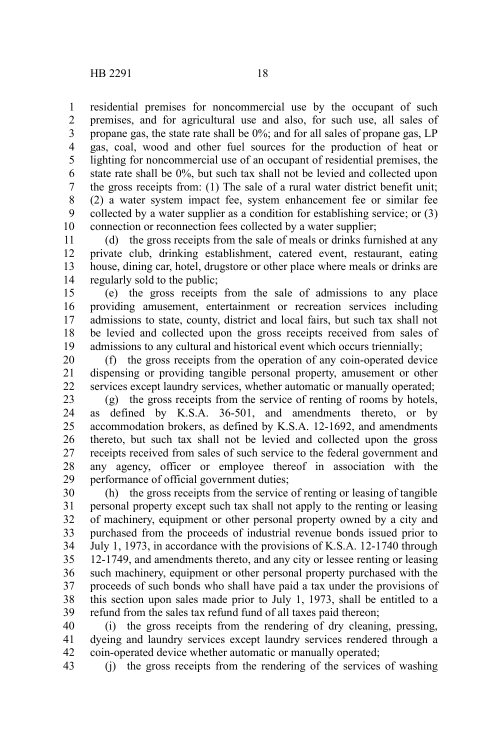residential premises for noncommercial use by the occupant of such premises, and for agricultural use and also, for such use, all sales of propane gas, the state rate shall be 0%; and for all sales of propane gas, LP gas, coal, wood and other fuel sources for the production of heat or lighting for noncommercial use of an occupant of residential premises, the state rate shall be 0%, but such tax shall not be levied and collected upon the gross receipts from: (1) The sale of a rural water district benefit unit; (2) a water system impact fee, system enhancement fee or similar fee collected by a water supplier as a condition for establishing service; or (3) connection or reconnection fees collected by a water supplier; 1 2 3 4 5 6 7 8 9 10

(d) the gross receipts from the sale of meals or drinks furnished at any private club, drinking establishment, catered event, restaurant, eating house, dining car, hotel, drugstore or other place where meals or drinks are regularly sold to the public; 11 12 13 14

(e) the gross receipts from the sale of admissions to any place providing amusement, entertainment or recreation services including admissions to state, county, district and local fairs, but such tax shall not be levied and collected upon the gross receipts received from sales of admissions to any cultural and historical event which occurs triennially; 15 16 17 18 19

(f) the gross receipts from the operation of any coin-operated device dispensing or providing tangible personal property, amusement or other services except laundry services, whether automatic or manually operated; 20 21 22

(g) the gross receipts from the service of renting of rooms by hotels, as defined by K.S.A. 36-501, and amendments thereto, or by accommodation brokers, as defined by K.S.A. 12-1692, and amendments thereto, but such tax shall not be levied and collected upon the gross receipts received from sales of such service to the federal government and any agency, officer or employee thereof in association with the performance of official government duties; 23 24 25 26 27 28 29

(h) the gross receipts from the service of renting or leasing of tangible personal property except such tax shall not apply to the renting or leasing of machinery, equipment or other personal property owned by a city and purchased from the proceeds of industrial revenue bonds issued prior to July 1, 1973, in accordance with the provisions of K.S.A. 12-1740 through 12-1749, and amendments thereto, and any city or lessee renting or leasing such machinery, equipment or other personal property purchased with the proceeds of such bonds who shall have paid a tax under the provisions of this section upon sales made prior to July 1, 1973, shall be entitled to a refund from the sales tax refund fund of all taxes paid thereon; 30 31 32 33 34 35 36 37 38 39

(i) the gross receipts from the rendering of dry cleaning, pressing, dyeing and laundry services except laundry services rendered through a coin-operated device whether automatic or manually operated; 40 41 42

(j) the gross receipts from the rendering of the services of washing 43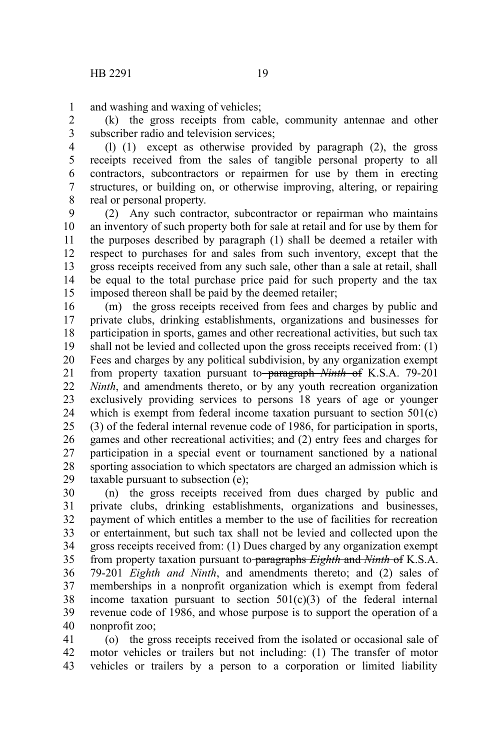and washing and waxing of vehicles; 1

(k) the gross receipts from cable, community antennae and other subscriber radio and television services; 2 3

(l) (1) except as otherwise provided by paragraph (2), the gross receipts received from the sales of tangible personal property to all contractors, subcontractors or repairmen for use by them in erecting structures, or building on, or otherwise improving, altering, or repairing real or personal property. 4 5 6 7 8

(2) Any such contractor, subcontractor or repairman who maintains an inventory of such property both for sale at retail and for use by them for the purposes described by paragraph (1) shall be deemed a retailer with respect to purchases for and sales from such inventory, except that the gross receipts received from any such sale, other than a sale at retail, shall be equal to the total purchase price paid for such property and the tax imposed thereon shall be paid by the deemed retailer; 9 10 11 12 13 14 15

(m) the gross receipts received from fees and charges by public and private clubs, drinking establishments, organizations and businesses for participation in sports, games and other recreational activities, but such tax shall not be levied and collected upon the gross receipts received from: (1) Fees and charges by any political subdivision, by any organization exempt from property taxation pursuant to paragraph *Ninth* of K.S.A. 79-201 *Ninth*, and amendments thereto, or by any youth recreation organization exclusively providing services to persons 18 years of age or younger which is exempt from federal income taxation pursuant to section 501(c) (3) of the federal internal revenue code of 1986, for participation in sports, games and other recreational activities; and (2) entry fees and charges for participation in a special event or tournament sanctioned by a national sporting association to which spectators are charged an admission which is taxable pursuant to subsection (e); 16 17 18 19 20 21 22 23 24 25 26 27 28 29

(n) the gross receipts received from dues charged by public and private clubs, drinking establishments, organizations and businesses, payment of which entitles a member to the use of facilities for recreation or entertainment, but such tax shall not be levied and collected upon the gross receipts received from: (1) Dues charged by any organization exempt from property taxation pursuant to paragraphs *Eighth* and *Ninth* of K.S.A. 79-201 *Eighth and Ninth*, and amendments thereto; and (2) sales of memberships in a nonprofit organization which is exempt from federal income taxation pursuant to section  $501(c)(3)$  of the federal internal revenue code of 1986, and whose purpose is to support the operation of a nonprofit zoo; 30 31 32 33 34 35 36 37 38 39 40

(o) the gross receipts received from the isolated or occasional sale of motor vehicles or trailers but not including: (1) The transfer of motor vehicles or trailers by a person to a corporation or limited liability 41 42 43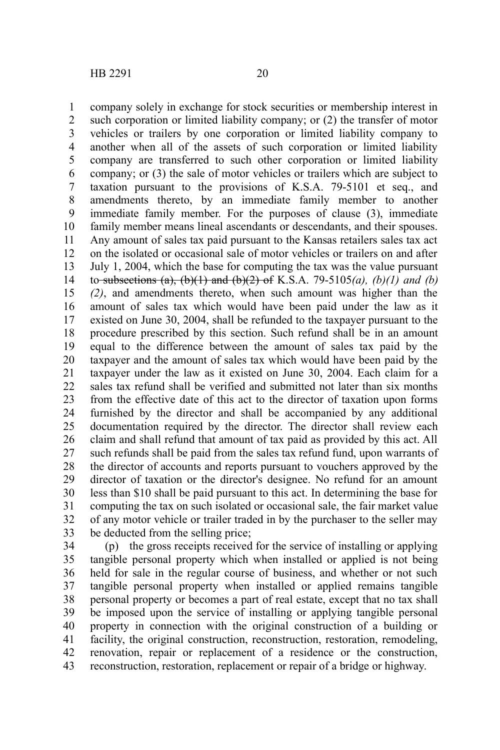company solely in exchange for stock securities or membership interest in such corporation or limited liability company; or (2) the transfer of motor vehicles or trailers by one corporation or limited liability company to another when all of the assets of such corporation or limited liability company are transferred to such other corporation or limited liability company; or (3) the sale of motor vehicles or trailers which are subject to taxation pursuant to the provisions of K.S.A. 79-5101 et seq., and amendments thereto, by an immediate family member to another immediate family member. For the purposes of clause (3), immediate family member means lineal ascendants or descendants, and their spouses. Any amount of sales tax paid pursuant to the Kansas retailers sales tax act on the isolated or occasional sale of motor vehicles or trailers on and after July 1, 2004, which the base for computing the tax was the value pursuant to subsections (a),  $(b)(1)$  and  $(b)(2)$  of K.S.A. 79-5105(a),  $(b)(1)$  and (b) *(2)*, and amendments thereto, when such amount was higher than the amount of sales tax which would have been paid under the law as it existed on June 30, 2004, shall be refunded to the taxpayer pursuant to the procedure prescribed by this section. Such refund shall be in an amount equal to the difference between the amount of sales tax paid by the taxpayer and the amount of sales tax which would have been paid by the taxpayer under the law as it existed on June 30, 2004. Each claim for a sales tax refund shall be verified and submitted not later than six months from the effective date of this act to the director of taxation upon forms furnished by the director and shall be accompanied by any additional documentation required by the director. The director shall review each claim and shall refund that amount of tax paid as provided by this act. All such refunds shall be paid from the sales tax refund fund, upon warrants of the director of accounts and reports pursuant to vouchers approved by the director of taxation or the director's designee. No refund for an amount less than \$10 shall be paid pursuant to this act. In determining the base for computing the tax on such isolated or occasional sale, the fair market value of any motor vehicle or trailer traded in by the purchaser to the seller may be deducted from the selling price; 1 2 3 4 5 6 7 8 9 10 11 12 13 14 15 16 17 18 19 20 21 22 23 24 25 26 27 28 29 30 31 32 33

(p) the gross receipts received for the service of installing or applying tangible personal property which when installed or applied is not being held for sale in the regular course of business, and whether or not such tangible personal property when installed or applied remains tangible personal property or becomes a part of real estate, except that no tax shall be imposed upon the service of installing or applying tangible personal property in connection with the original construction of a building or facility, the original construction, reconstruction, restoration, remodeling, renovation, repair or replacement of a residence or the construction, reconstruction, restoration, replacement or repair of a bridge or highway. 34 35 36 37 38 39 40 41 42 43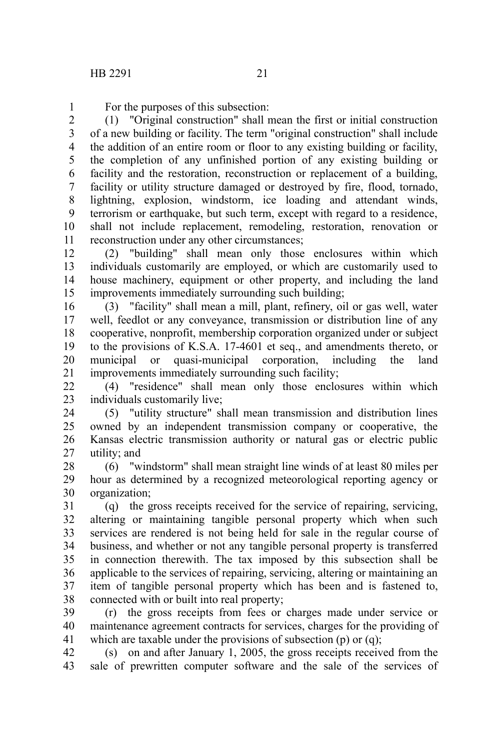1

For the purposes of this subsection:

(1) "Original construction" shall mean the first or initial construction of a new building or facility. The term "original construction" shall include the addition of an entire room or floor to any existing building or facility, the completion of any unfinished portion of any existing building or facility and the restoration, reconstruction or replacement of a building, facility or utility structure damaged or destroyed by fire, flood, tornado, lightning, explosion, windstorm, ice loading and attendant winds, terrorism or earthquake, but such term, except with regard to a residence, shall not include replacement, remodeling, restoration, renovation or reconstruction under any other circumstances; 2 3 4 5 6 7 8 9 10 11

(2) "building" shall mean only those enclosures within which individuals customarily are employed, or which are customarily used to house machinery, equipment or other property, and including the land improvements immediately surrounding such building; 12 13 14 15

(3) "facility" shall mean a mill, plant, refinery, oil or gas well, water well, feedlot or any conveyance, transmission or distribution line of any cooperative, nonprofit, membership corporation organized under or subject to the provisions of K.S.A. 17-4601 et seq., and amendments thereto, or municipal or quasi-municipal corporation, including the land improvements immediately surrounding such facility; 16 17 18 19 20 21

(4) "residence" shall mean only those enclosures within which individuals customarily live; 22 23

(5) "utility structure" shall mean transmission and distribution lines owned by an independent transmission company or cooperative, the Kansas electric transmission authority or natural gas or electric public utility; and 24 25 26 27

(6) "windstorm" shall mean straight line winds of at least 80 miles per hour as determined by a recognized meteorological reporting agency or organization; 28 29 30

(q) the gross receipts received for the service of repairing, servicing, altering or maintaining tangible personal property which when such services are rendered is not being held for sale in the regular course of business, and whether or not any tangible personal property is transferred in connection therewith. The tax imposed by this subsection shall be applicable to the services of repairing, servicing, altering or maintaining an item of tangible personal property which has been and is fastened to, connected with or built into real property; 31 32 33 34 35 36 37 38

(r) the gross receipts from fees or charges made under service or maintenance agreement contracts for services, charges for the providing of which are taxable under the provisions of subsection (p) or (q); 39 40 41

(s) on and after January 1, 2005, the gross receipts received from the sale of prewritten computer software and the sale of the services of 42 43